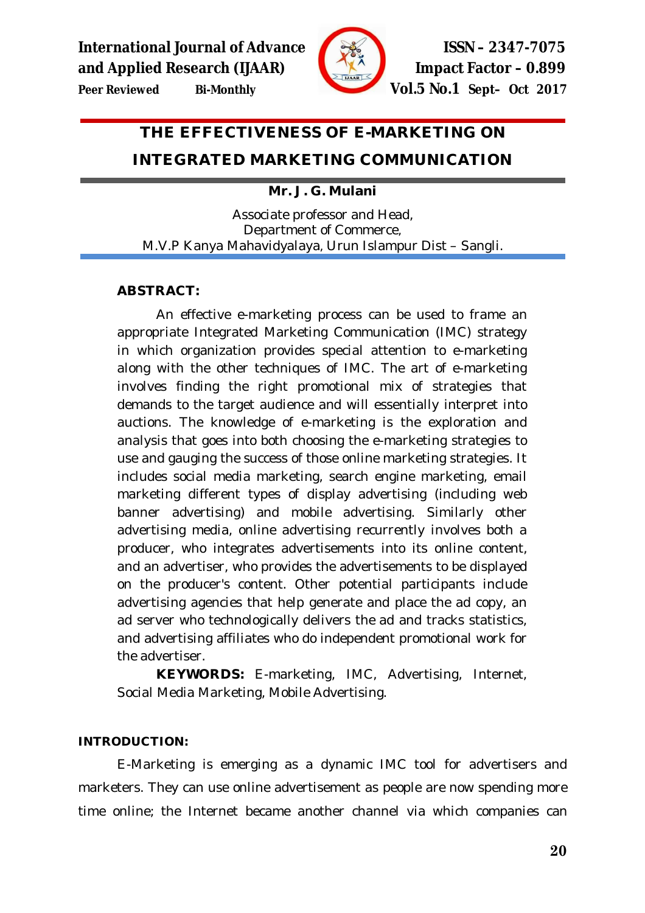



# **THE EFFECTIVENESS OF E-MARKETING ON**

# **INTEGRATED MARKETING COMMUNICATION**

# **Mr. J. G. Mulani**

Associate professor and Head, Department of Commerce, M.V.P Kanya Mahavidyalaya, Urun Islampur Dist – Sangli.

# **ABSTRACT:**

An effective e-marketing process can be used to frame an appropriate Integrated Marketing Communication (IMC) strategy in which organization provides special attention to e-marketing along with the other techniques of IMC. The art of e-marketing involves finding the right promotional mix of strategies that demands to the target audience and will essentially interpret into auctions. The knowledge of e-marketing is the exploration and analysis that goes into both choosing the e-marketing strategies to use and gauging the success of those online marketing strategies. It includes social media marketing, search engine marketing, email marketing different types of display advertising (including web banner advertising) and mobile advertising. Similarly other advertising media, online advertising recurrently involves both a producer, who integrates advertisements into its online content, and an advertiser, who provides the advertisements to be displayed on the producer's content. Other potential participants include advertising agencies that help generate and place the ad copy, an ad server who technologically delivers the ad and tracks statistics, and advertising affiliates who do independent promotional work for the advertiser.

**KEYWORDS:** E-marketing, IMC, Advertising, Internet, Social Media Marketing, Mobile Advertising.

# **INTRODUCTION:**

E-Marketing is emerging as a dynamic IMC tool for advertisers and marketers. They can use online advertisement as people are now spending more time online; the Internet became another channel via which companies can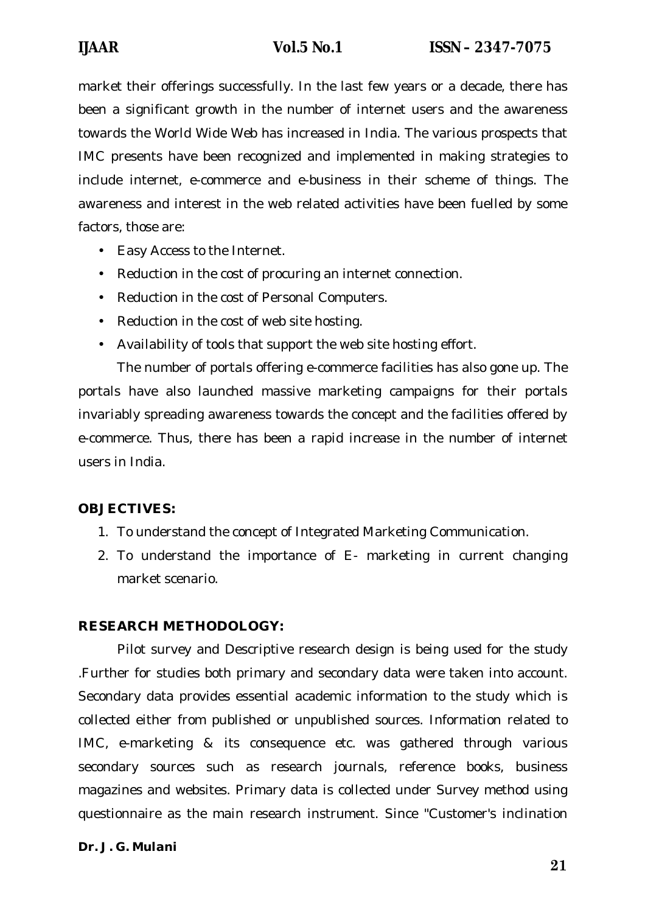market their offerings successfully. In the last few years or a decade, there has been a significant growth in the number of internet users and the awareness towards the World Wide Web has increased in India. The various prospects that IMC presents have been recognized and implemented in making strategies to include internet, e-commerce and e-business in their scheme of things. The awareness and interest in the web related activities have been fuelled by some factors, those are:

- Easy Access to the Internet.
- Reduction in the cost of procuring an internet connection.
- Reduction in the cost of Personal Computers.
- Reduction in the cost of web site hosting.
- Availability of tools that support the web site hosting effort.

The number of portals offering e-commerce facilities has also gone up. The portals have also launched massive marketing campaigns for their portals invariably spreading awareness towards the concept and the facilities offered by e-commerce. Thus, there has been a rapid increase in the number of internet users in India.

# **OBJECTIVES:**

- 1. To understand the concept of Integrated Marketing Communication.
- 2. To understand the importance of E- marketing in current changing market scenario.

# **RESEARCH METHODOLOGY:**

Pilot survey and Descriptive research design is being used for the study .Further for studies both primary and secondary data were taken into account. Secondary data provides essential academic information to the study which is collected either from published or unpublished sources. Information related to IMC, e-marketing & its consequence etc. was gathered through various secondary sources such as research journals, reference books, business magazines and websites. Primary data is collected under Survey method using questionnaire as the main research instrument. Since "Customer's inclination

#### *Dr. J. G. Mulani*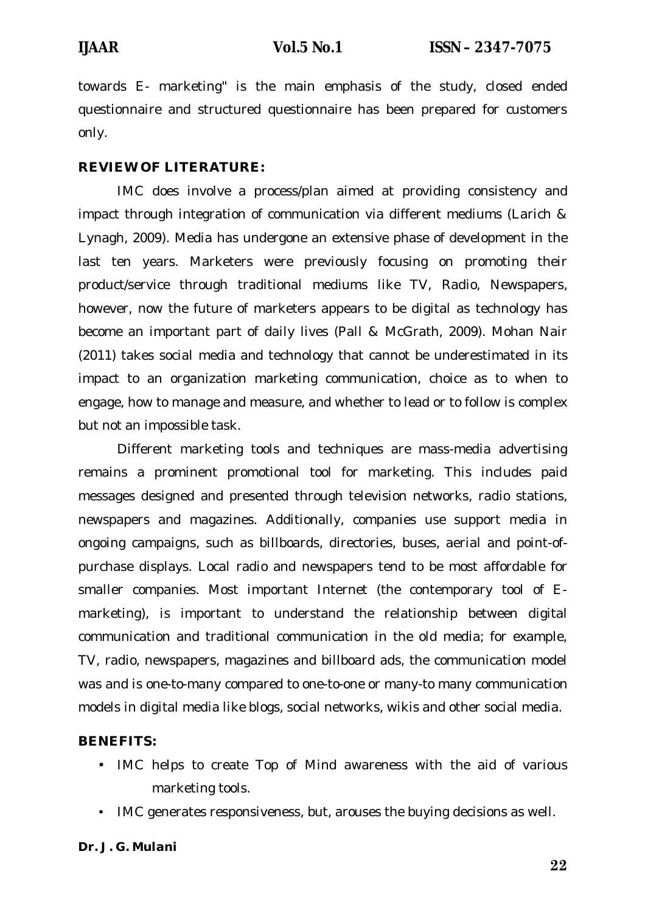towards E- marketing" is the main emphasis of the study, closed ended questionnaire and structured questionnaire has been prepared for customers only.

### **REVIEW OF LITERATURE:**

IMC does involve a process/plan aimed at providing consistency and impact through integration of communication via different mediums (Larich & Lynagh, 2009). Media has undergone an extensive phase of development in the last ten years. Marketers were previously focusing on promoting their product/service through traditional mediums like TV, Radio, Newspapers, however, now the future of marketers appears to be digital as technology has become an important part of daily lives (Pall & McGrath, 2009). Mohan Nair (2011) takes social media and technology that cannot be underestimated in its impact to an organization marketing communication, choice as to when to engage, how to manage and measure, and whether to lead or to follow is complex but not an impossible task.

Different marketing tools and techniques are mass-media advertising remains a prominent promotional tool for marketing. This includes paid messages designed and presented through television networks, radio stations, newspapers and magazines. Additionally, companies use support media in ongoing campaigns, such as billboards, directories, buses, aerial and point-ofpurchase displays. Local radio and newspapers tend to be most affordable for smaller companies. Most important Internet (the contemporary tool of Emarketing), is important to understand the relationship between digital communication and traditional communication in the old media; for example, TV, radio, newspapers, magazines and billboard ads, the communication model was and is one-to-many compared to one-to-one or many-to many communication models in digital media like blogs, social networks, wikis and other social media.

#### **BENEFITS:**

- IMC helps to create Top of Mind awareness with the aid of various marketing tools.
- IMC generates responsiveness, but, arouses the buying decisions as well.

#### *Dr. J. G. Mulani*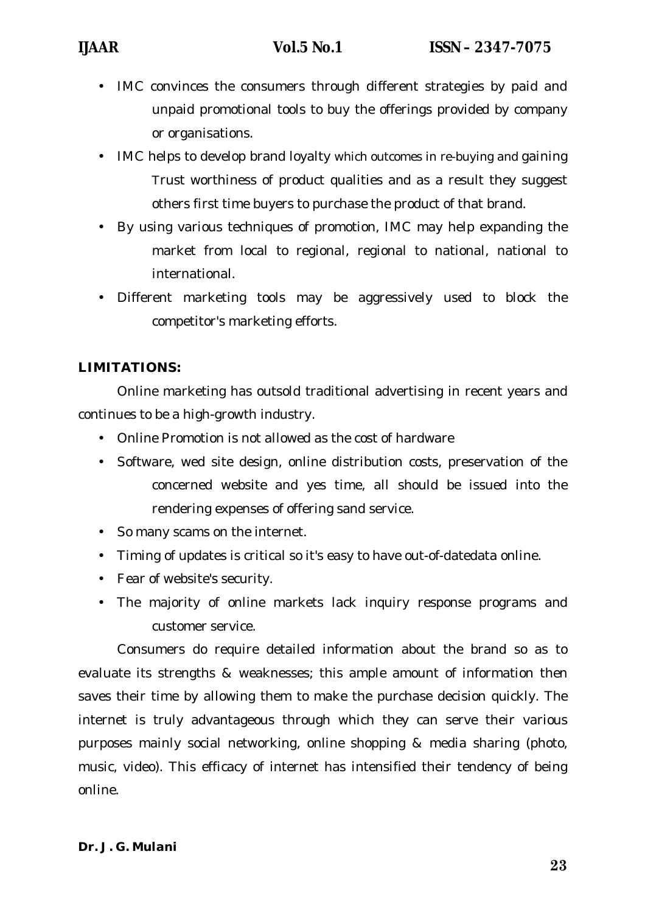- IMC convinces the consumers through different strategies by paid and unpaid promotional tools to buy the offerings provided by company or organisations.
- IMC helps to develop brand loyalty which outcomes in re-buying and gaining Trust worthiness of product qualities and as a result they suggest others first time buyers to purchase the product of that brand.
- By using various techniques of promotion, IMC may help expanding the market from local to regional, regional to national, national to international.
- Different marketing tools may be aggressively used to block the competitor's marketing efforts.

# **LIMITATIONS:**

Online marketing has outsold traditional advertising in recent years and continues to be a high-growth industry.

- Online Promotion is not allowed as the cost of hardware
- Software, wed site design, online distribution costs, preservation of the concerned website and yes time, all should be issued into the rendering expenses of offering sand service.
- So many scams on the internet.
- Timing of updates is critical so it's easy to have out-of-datedata online.
- Fear of website's security.
- The majority of online markets lack inquiry response programs and customer service.

Consumers do require detailed information about the brand so as to evaluate its strengths & weaknesses; this ample amount of information then saves their time by allowing them to make the purchase decision quickly. The internet is truly advantageous through which they can serve their various purposes mainly social networking, online shopping & media sharing (photo, music, video). This efficacy of internet has intensified their tendency of being online.